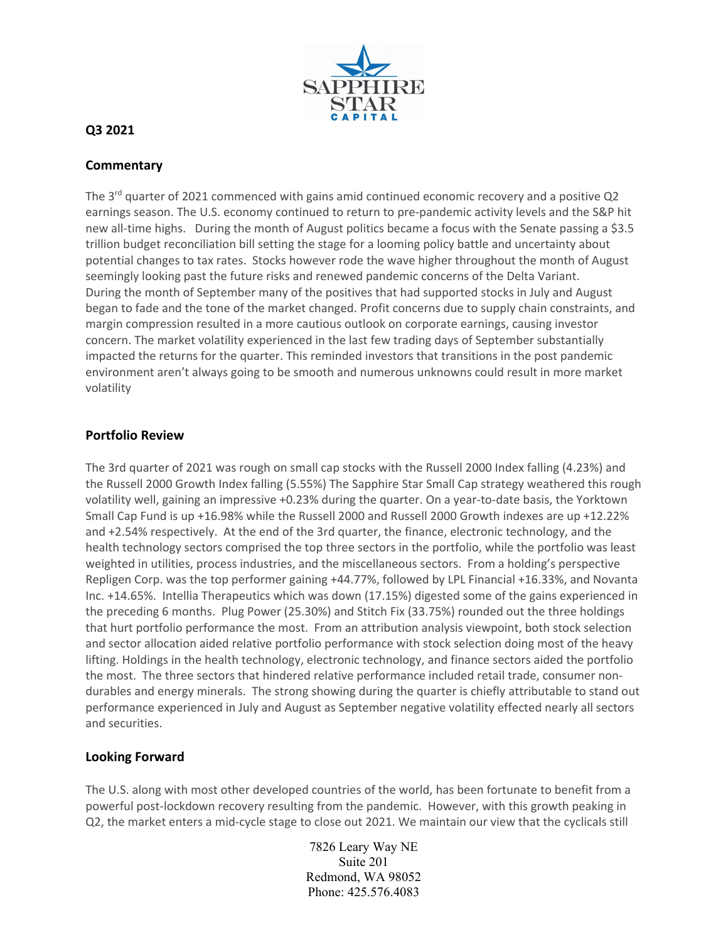

## **Q3 2021**

## **Commentary**

The  $3<sup>rd</sup>$  quarter of 2021 commenced with gains amid continued economic recovery and a positive Q2 earnings season. The U.S. economy continued to return to pre-pandemic activity levels and the S&P hit new all-time highs. During the month of August politics became a focus with the Senate passing a \$3.5 trillion budget reconciliation bill setting the stage for a looming policy battle and uncertainty about potential changes to tax rates. Stocks however rode the wave higher throughout the month of August seemingly looking past the future risks and renewed pandemic concerns of the Delta Variant. During the month of September many of the positives that had supported stocks in July and August began to fade and the tone of the market changed. Profit concerns due to supply chain constraints, and margin compression resulted in a more cautious outlook on corporate earnings, causing investor concern. The market volatility experienced in the last few trading days of September substantially impacted the returns for the quarter. This reminded investors that transitions in the post pandemic environment aren't always going to be smooth and numerous unknowns could result in more market volatility

## **Portfolio Review**

The 3rd quarter of 2021 was rough on small cap stocks with the Russell 2000 Index falling (4.23%) and the Russell 2000 Growth Index falling (5.55%) The Sapphire Star Small Cap strategy weathered this rough volatility well, gaining an impressive +0.23% during the quarter. On a year-to-date basis, the Yorktown Small Cap Fund is up +16.98% while the Russell 2000 and Russell 2000 Growth indexes are up +12.22% and +2.54% respectively. At the end of the 3rd quarter, the finance, electronic technology, and the health technology sectors comprised the top three sectors in the portfolio, while the portfolio was least weighted in utilities, process industries, and the miscellaneous sectors. From a holding's perspective Repligen Corp. was the top performer gaining +44.77%, followed by LPL Financial +16.33%, and Novanta Inc. +14.65%. Intellia Therapeutics which was down (17.15%) digested some of the gains experienced in the preceding 6 months. Plug Power (25.30%) and Stitch Fix (33.75%) rounded out the three holdings that hurt portfolio performance the most. From an attribution analysis viewpoint, both stock selection and sector allocation aided relative portfolio performance with stock selection doing most of the heavy lifting. Holdings in the health technology, electronic technology, and finance sectors aided the portfolio the most. The three sectors that hindered relative performance included retail trade, consumer nondurables and energy minerals. The strong showing during the quarter is chiefly attributable to stand out performance experienced in July and August as September negative volatility effected nearly all sectors and securities.

## **Looking Forward**

The U.S. along with most other developed countries of the world, has been fortunate to benefit from a powerful post-lockdown recovery resulting from the pandemic. However, with this growth peaking in Q2, the market enters a mid-cycle stage to close out 2021. We maintain our view that the cyclicals still

> 7826 Leary Way NE Suite 201 Redmond, WA 98052 Phone: 425.576.4083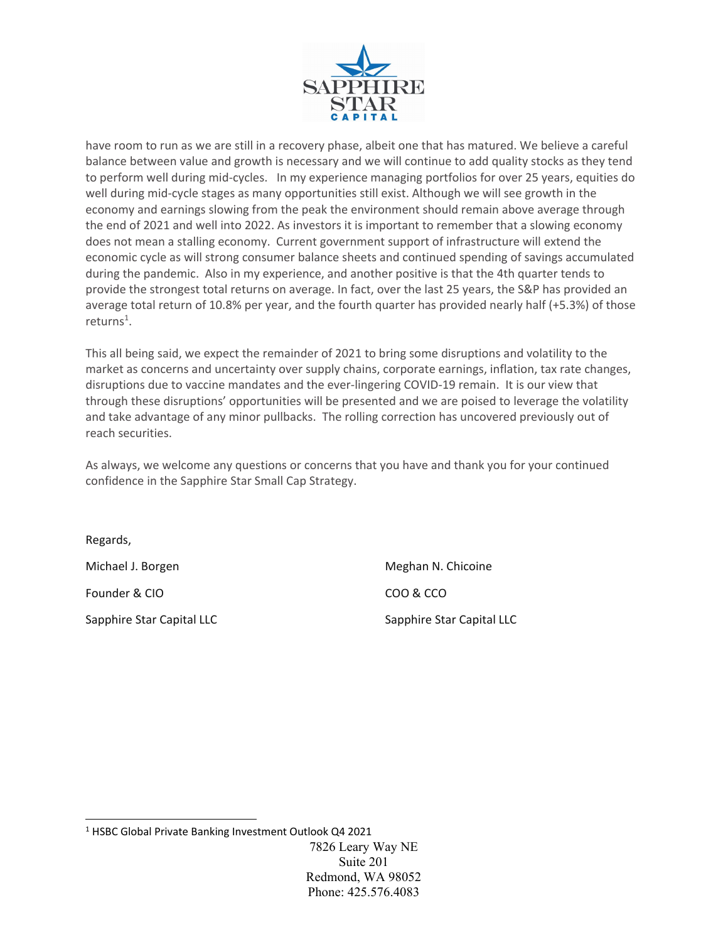

have room to run as we are still in a recovery phase, albeit one that has matured. We believe a careful balance between value and growth is necessary and we will continue to add quality stocks as they tend to perform well during mid‐cycles. In my experience managing portfolios for over 25 years, equities do well during mid‐cycle stages as many opportunities still exist. Although we will see growth in the economy and earnings slowing from the peak the environment should remain above average through the end of 2021 and well into 2022. As investors it is important to remember that a slowing economy does not mean a stalling economy. Current government support of infrastructure will extend the economic cycle as will strong consumer balance sheets and continued spending of savings accumulated during the pandemic. Also in my experience, and another positive is that the 4th quarter tends to provide the strongest total returns on average. In fact, over the last 25 years, the S&P has provided an average total return of 10.8% per year, and the fourth quarter has provided nearly half (+5.3%) of those returns<sup>1</sup>.

This all being said, we expect the remainder of 2021 to bring some disruptions and volatility to the market as concerns and uncertainty over supply chains, corporate earnings, inflation, tax rate changes, disruptions due to vaccine mandates and the ever‐lingering COVID‐19 remain. It is our view that through these disruptions' opportunities will be presented and we are poised to leverage the volatility and take advantage of any minor pullbacks. The rolling correction has uncovered previously out of reach securities.

As always, we welcome any questions or concerns that you have and thank you for your continued confidence in the Sapphire Star Small Cap Strategy.

Regards, Michael J. Borgen **Michael J. Borgen 1999** Meghan N. Chicoine Founder & CIO **BUCK COO & COO & COO & COO** 

Sapphire Star Capital LLC **Sapphire Star Capital LLC** 

<sup>7826</sup> Leary Way NE Suite 201 Redmond, WA 98052 Phone: 425.576.4083 <sup>1</sup> HSBC Global Private Banking Investment Outlook Q4 2021